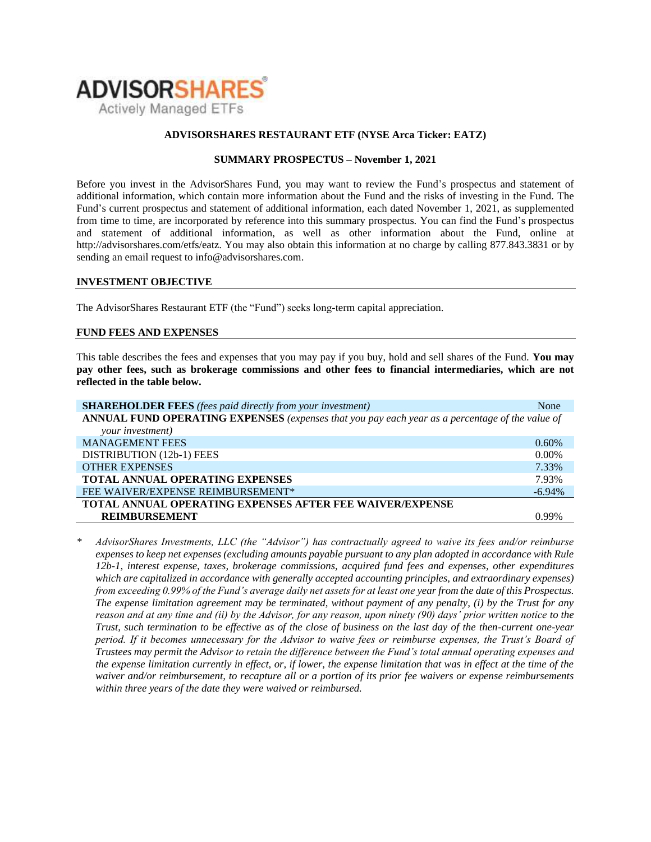

### **ADVISORSHARES RESTAURANT ETF (NYSE Arca Ticker: EATZ)**

### **SUMMARY PROSPECTUS – November 1, 2021**

Before you invest in the AdvisorShares Fund, you may want to review the Fund's prospectus and statement of additional information, which contain more information about the Fund and the risks of investing in the Fund. The Fund's [current prospectus and statement of additional information,](https://www.sec.gov/ix?doc=/Archives/edgar/data/1408970/000182912621013072/ck0001408970-20210630.htm) each dated November 1, 2021, as supplemented from time to time, are incorporated by reference into this summary prospectus. You can find the Fund's prospectus and statement of additional information, as well as other information about the Fund, online at http://advisorshares.com/etfs/eatz. You may also obtain this information at no charge by calling 877.843.3831 or by sending an email request to info@advisorshares.com.

#### **INVESTMENT OBJECTIVE**

The AdvisorShares Restaurant ETF (the "Fund") seeks long-term capital appreciation.

## **FUND FEES AND EXPENSES**

This table describes the fees and expenses that you may pay if you buy, hold and sell shares of the Fund. **You may pay other fees, such as brokerage commissions and other fees to financial intermediaries, which are not reflected in the table below.**

| <b>SHAREHOLDER FEES</b> (fees paid directly from your investment)                               | None      |  |  |
|-------------------------------------------------------------------------------------------------|-----------|--|--|
| ANNUAL FUND OPERATING EXPENSES (expenses that you pay each year as a percentage of the value of |           |  |  |
| your investment)                                                                                |           |  |  |
| <b>MANAGEMENT FEES</b>                                                                          | $0.60\%$  |  |  |
| DISTRIBUTION (12b-1) FEES                                                                       | $0.00\%$  |  |  |
| <b>OTHER EXPENSES</b>                                                                           | 7.33%     |  |  |
| <b>TOTAL ANNUAL OPERATING EXPENSES</b>                                                          | 7.93%     |  |  |
| FEE WAIVER/EXPENSE REIMBURSEMENT*                                                               | $-6.94\%$ |  |  |
| <b>TOTAL ANNUAL OPERATING EXPENSES AFTER FEE WAIVER/EXPENSE</b>                                 |           |  |  |
| <b>REIMBURSEMENT</b>                                                                            | 0.99%     |  |  |

*\* AdvisorShares Investments, LLC (the "Advisor") has contractually agreed to waive its fees and/or reimburse expenses to keep net expenses (excluding amounts payable pursuant to any plan adopted in accordance with Rule 12b-1, interest expense, taxes, brokerage commissions, acquired fund fees and expenses, other expenditures which are capitalized in accordance with generally accepted accounting principles, and extraordinary expenses) from exceeding 0.99% of the Fund's average daily net assets for at least one year from the date of this Prospectus. The expense limitation agreement may be terminated, without payment of any penalty, (i) by the Trust for any reason and at any time and (ii) by the Advisor, for any reason, upon ninety (90) days' prior written notice to the Trust, such termination to be effective as of the close of business on the last day of the then-current one-year period. If it becomes unnecessary for the Advisor to waive fees or reimburse expenses, the Trust's Board of Trustees may permit the Advisor to retain the difference between the Fund's total annual operating expenses and the expense limitation currently in effect, or, if lower, the expense limitation that was in effect at the time of the waiver and/or reimbursement, to recapture all or a portion of its prior fee waivers or expense reimbursements within three years of the date they were waived or reimbursed.*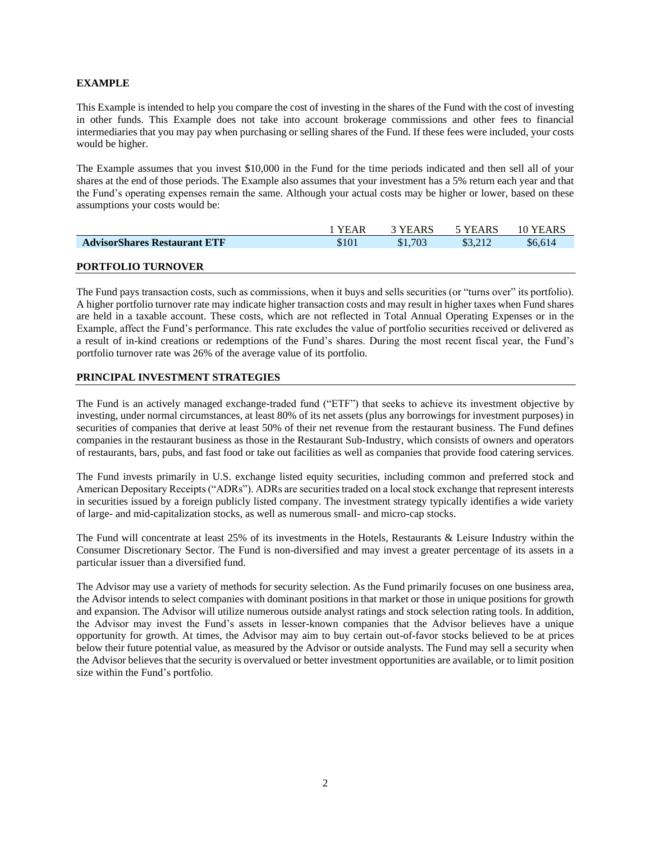# **EXAMPLE**

This Example is intended to help you compare the cost of investing in the shares of the Fund with the cost of investing in other funds. This Example does not take into account brokerage commissions and other fees to financial intermediaries that you may pay when purchasing or selling shares of the Fund. If these fees were included, your costs would be higher.

The Example assumes that you invest \$10,000 in the Fund for the time periods indicated and then sell all of your shares at the end of those periods. The Example also assumes that your investment has a 5% return each year and that the Fund's operating expenses remain the same. Although your actual costs may be higher or lower, based on these assumptions your costs would be:

|                                     | <b>YEAR</b> | 3 YEARS | 5 YEARS | 10 YEARS |
|-------------------------------------|-------------|---------|---------|----------|
| <b>AdvisorShares Restaurant ETF</b> | \$101       | \$1,703 | \$3,212 | \$6.614  |
|                                     |             |         |         |          |

## **PORTFOLIO TURNOVER**

The Fund pays transaction costs, such as commissions, when it buys and sells securities (or "turns over" its portfolio). A higher portfolio turnover rate may indicate higher transaction costs and may result in higher taxes when Fund shares are held in a taxable account. These costs, which are not reflected in Total Annual Operating Expenses or in the Example, affect the Fund's performance. This rate excludes the value of portfolio securities received or delivered as a result of in-kind creations or redemptions of the Fund's shares. During the most recent fiscal year, the Fund's portfolio turnover rate was 26% of the average value of its portfolio.

# **PRINCIPAL INVESTMENT STRATEGIES**

The Fund is an actively managed exchange-traded fund ("ETF") that seeks to achieve its investment objective by investing, under normal circumstances, at least 80% of its net assets (plus any borrowings for investment purposes) in securities of companies that derive at least 50% of their net revenue from the restaurant business. The Fund defines companies in the restaurant business as those in the Restaurant Sub-Industry, which consists of owners and operators of restaurants, bars, pubs, and fast food or take out facilities as well as companies that provide food catering services.

The Fund invests primarily in U.S. exchange listed equity securities, including common and preferred stock and American Depositary Receipts ("ADRs"). ADRs are securities traded on a local stock exchange that represent interests in securities issued by a foreign publicly listed company. The investment strategy typically identifies a wide variety of large- and mid-capitalization stocks, as well as numerous small- and micro-cap stocks.

The Fund will concentrate at least 25% of its investments in the Hotels, Restaurants & Leisure Industry within the Consumer Discretionary Sector. The Fund is non-diversified and may invest a greater percentage of its assets in a particular issuer than a diversified fund.

The Advisor may use a variety of methods for security selection. As the Fund primarily focuses on one business area, the Advisor intends to select companies with dominant positions in that market or those in unique positions for growth and expansion. The Advisor will utilize numerous outside analyst ratings and stock selection rating tools. In addition, the Advisor may invest the Fund's assets in lesser-known companies that the Advisor believes have a unique opportunity for growth. At times, the Advisor may aim to buy certain out-of-favor stocks believed to be at prices below their future potential value, as measured by the Advisor or outside analysts. The Fund may sell a security when the Advisor believes that the security is overvalued or better investment opportunities are available, or to limit position size within the Fund's portfolio.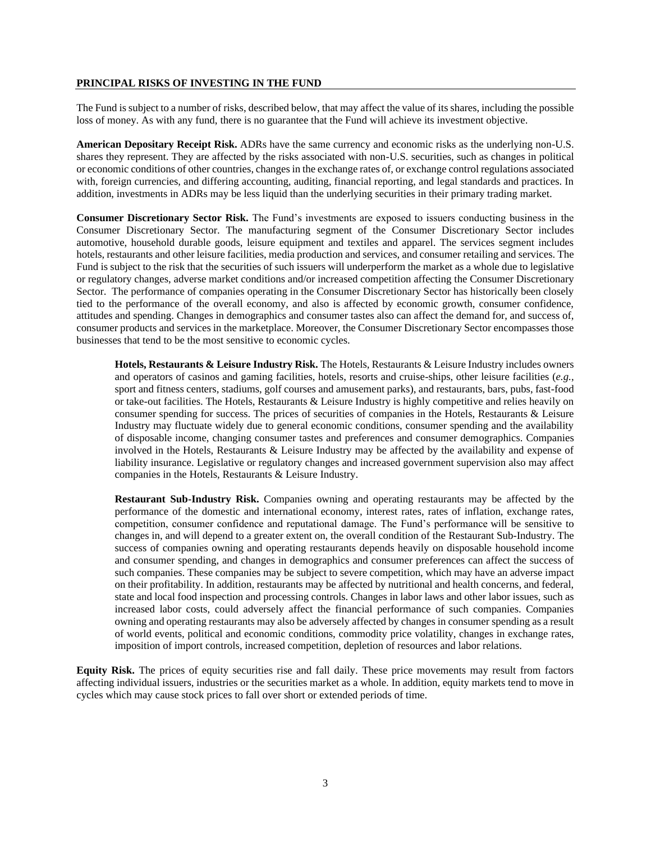#### **PRINCIPAL RISKS OF INVESTING IN THE FUND**

The Fund is subject to a number of risks, described below, that may affect the value of its shares, including the possible loss of money. As with any fund, there is no guarantee that the Fund will achieve its investment objective.

**American Depositary Receipt Risk.** ADRs have the same currency and economic risks as the underlying non-U.S. shares they represent. They are affected by the risks associated with non-U.S. securities, such as changes in political or economic conditions of other countries, changes in the exchange rates of, or exchange control regulations associated with, foreign currencies, and differing accounting, auditing, financial reporting, and legal standards and practices. In addition, investments in ADRs may be less liquid than the underlying securities in their primary trading market.

**Consumer Discretionary Sector Risk.** The Fund's investments are exposed to issuers conducting business in the Consumer Discretionary Sector. The manufacturing segment of the Consumer Discretionary Sector includes automotive, household durable goods, leisure equipment and textiles and apparel. The services segment includes hotels, restaurants and other leisure facilities, media production and services, and consumer retailing and services. The Fund is subject to the risk that the securities of such issuers will underperform the market as a whole due to legislative or regulatory changes, adverse market conditions and/or increased competition affecting the Consumer Discretionary Sector. The performance of companies operating in the Consumer Discretionary Sector has historically been closely tied to the performance of the overall economy, and also is affected by economic growth, consumer confidence, attitudes and spending. Changes in demographics and consumer tastes also can affect the demand for, and success of, consumer products and services in the marketplace. Moreover, the Consumer Discretionary Sector encompasses those businesses that tend to be the most sensitive to economic cycles.

**Hotels, Restaurants & Leisure Industry Risk.** The Hotels, Restaurants & Leisure Industry includes owners and operators of casinos and gaming facilities, hotels, resorts and cruise-ships, other leisure facilities (*e.g.*, sport and fitness centers, stadiums, golf courses and amusement parks), and restaurants, bars, pubs, fast-food or take-out facilities. The Hotels, Restaurants & Leisure Industry is highly competitive and relies heavily on consumer spending for success. The prices of securities of companies in the Hotels, Restaurants & Leisure Industry may fluctuate widely due to general economic conditions, consumer spending and the availability of disposable income, changing consumer tastes and preferences and consumer demographics. Companies involved in the Hotels, Restaurants & Leisure Industry may be affected by the availability and expense of liability insurance. Legislative or regulatory changes and increased government supervision also may affect companies in the Hotels, Restaurants & Leisure Industry.

**Restaurant Sub-Industry Risk.** Companies owning and operating restaurants may be affected by the performance of the domestic and international economy, interest rates, rates of inflation, exchange rates, competition, consumer confidence and reputational damage. The Fund's performance will be sensitive to changes in, and will depend to a greater extent on, the overall condition of the Restaurant Sub-Industry. The success of companies owning and operating restaurants depends heavily on disposable household income and consumer spending, and changes in demographics and consumer preferences can affect the success of such companies. These companies may be subject to severe competition, which may have an adverse impact on their profitability. In addition, restaurants may be affected by nutritional and health concerns, and federal, state and local food inspection and processing controls. Changes in labor laws and other labor issues, such as increased labor costs, could adversely affect the financial performance of such companies. Companies owning and operating restaurants may also be adversely affected by changes in consumer spending as a result of world events, political and economic conditions, commodity price volatility, changes in exchange rates, imposition of import controls, increased competition, depletion of resources and labor relations.

**Equity Risk.** The prices of equity securities rise and fall daily. These price movements may result from factors affecting individual issuers, industries or the securities market as a whole. In addition, equity markets tend to move in cycles which may cause stock prices to fall over short or extended periods of time.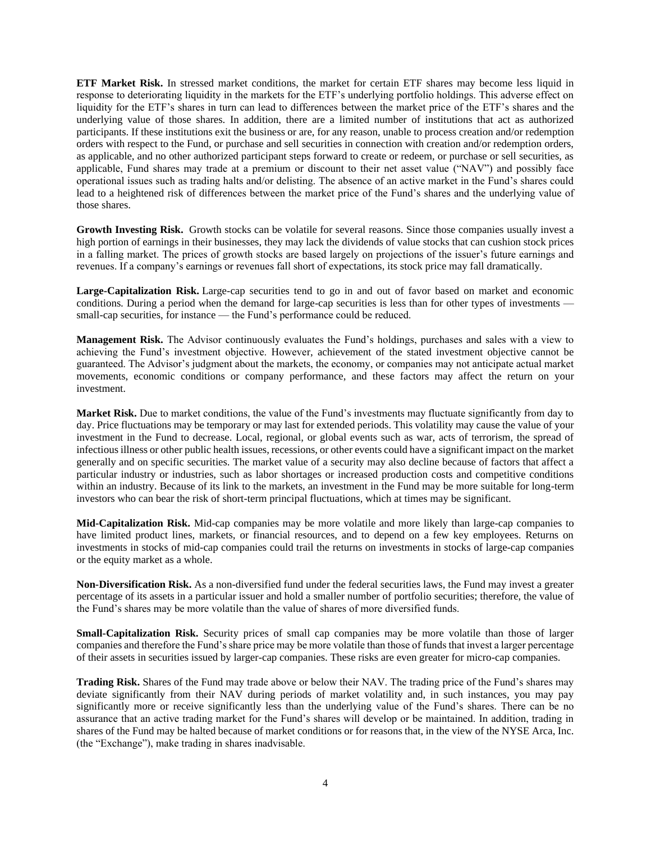**ETF Market Risk.** In stressed market conditions, the market for certain ETF shares may become less liquid in response to deteriorating liquidity in the markets for the ETF's underlying portfolio holdings. This adverse effect on liquidity for the ETF's shares in turn can lead to differences between the market price of the ETF's shares and the underlying value of those shares. In addition, there are a limited number of institutions that act as authorized participants. If these institutions exit the business or are, for any reason, unable to process creation and/or redemption orders with respect to the Fund, or purchase and sell securities in connection with creation and/or redemption orders, as applicable, and no other authorized participant steps forward to create or redeem, or purchase or sell securities, as applicable, Fund shares may trade at a premium or discount to their net asset value ("NAV") and possibly face operational issues such as trading halts and/or delisting. The absence of an active market in the Fund's shares could lead to a heightened risk of differences between the market price of the Fund's shares and the underlying value of those shares.

**Growth Investing Risk.** Growth stocks can be volatile for several reasons. Since those companies usually invest a high portion of earnings in their businesses, they may lack the dividends of value stocks that can cushion stock prices in a falling market. The prices of growth stocks are based largely on projections of the issuer's future earnings and revenues. If a company's earnings or revenues fall short of expectations, its stock price may fall dramatically.

**Large-Capitalization Risk.** Large-cap securities tend to go in and out of favor based on market and economic conditions. During a period when the demand for large-cap securities is less than for other types of investments small-cap securities, for instance — the Fund's performance could be reduced.

**Management Risk.** The Advisor continuously evaluates the Fund's holdings, purchases and sales with a view to achieving the Fund's investment objective. However, achievement of the stated investment objective cannot be guaranteed. The Advisor's judgment about the markets, the economy, or companies may not anticipate actual market movements, economic conditions or company performance, and these factors may affect the return on your investment.

**Market Risk.** Due to market conditions, the value of the Fund's investments may fluctuate significantly from day to day. Price fluctuations may be temporary or may last for extended periods. This volatility may cause the value of your investment in the Fund to decrease. Local, regional, or global events such as war, acts of terrorism, the spread of infectious illness or other public health issues, recessions, or other events could have a significant impact on the market generally and on specific securities. The market value of a security may also decline because of factors that affect a particular industry or industries, such as labor shortages or increased production costs and competitive conditions within an industry. Because of its link to the markets, an investment in the Fund may be more suitable for long-term investors who can bear the risk of short-term principal fluctuations, which at times may be significant.

**Mid-Capitalization Risk.** Mid-cap companies may be more volatile and more likely than large-cap companies to have limited product lines, markets, or financial resources, and to depend on a few key employees. Returns on investments in stocks of mid-cap companies could trail the returns on investments in stocks of large-cap companies or the equity market as a whole.

**Non-Diversification Risk.** As a non-diversified fund under the federal securities laws, the Fund may invest a greater percentage of its assets in a particular issuer and hold a smaller number of portfolio securities; therefore, the value of the Fund's shares may be more volatile than the value of shares of more diversified funds.

**Small-Capitalization Risk.** Security prices of small cap companies may be more volatile than those of larger companies and therefore the Fund's share price may be more volatile than those of funds that invest a larger percentage of their assets in securities issued by larger-cap companies. These risks are even greater for micro-cap companies.

**Trading Risk.** Shares of the Fund may trade above or below their NAV. The trading price of the Fund's shares may deviate significantly from their NAV during periods of market volatility and, in such instances, you may pay significantly more or receive significantly less than the underlying value of the Fund's shares. There can be no assurance that an active trading market for the Fund's shares will develop or be maintained. In addition, trading in shares of the Fund may be halted because of market conditions or for reasons that, in the view of the NYSE Arca, Inc. (the "Exchange"), make trading in shares inadvisable.